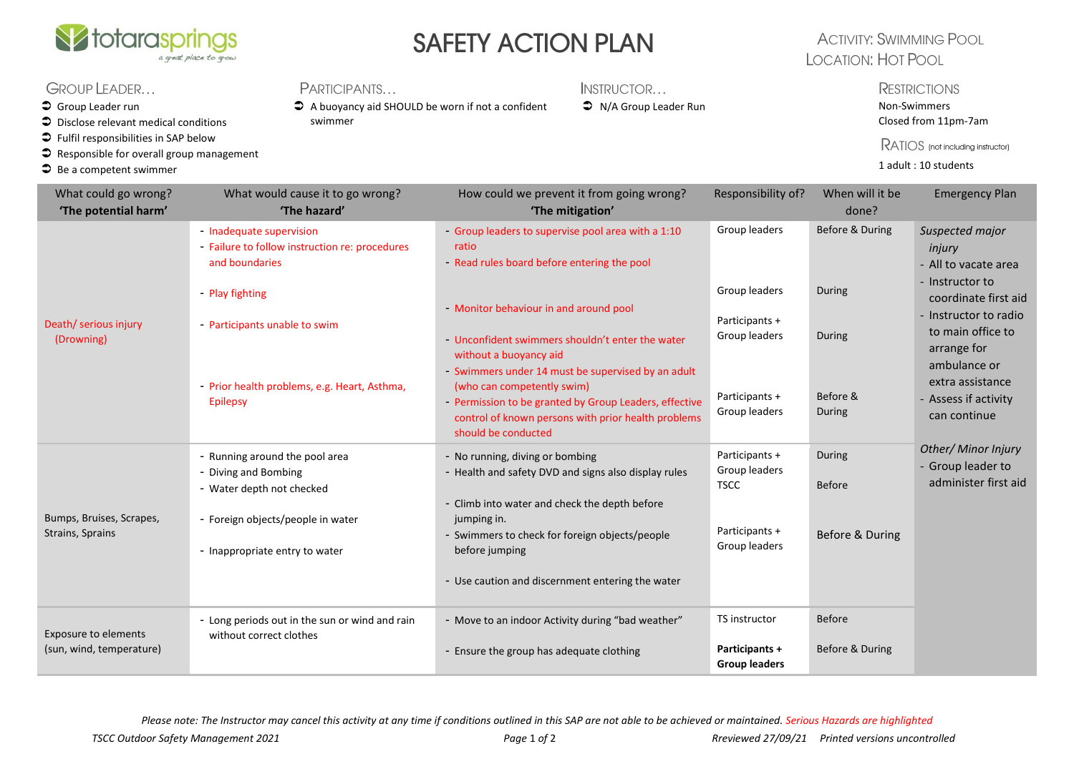

# SAFETY ACTION PLAN

### **ACTIVITY: SWIMMING POOL LOCATION: HOT POOL**

#### GROUP LEADER...

- $\supset$  Group Leader run
- $\supset$  Disclose relevant medical conditions
- $\bullet$  Fulfil responsibilities in SAP below
- $\bullet$  Responsible for overall group management
- $\supseteq$  Be a competent swimmer

#### **PARTICIPANTS**

 A buoyancy aid SHOULD be worn if not a confident swimmer

INSTRUCTOR...

#### **C** N/A Group Leader Run Non-Swimmers

### **RESTRICTIONS**

Closed from 11pm-7am

RATIOS (not including instructor)

1 adult : 10 students

| What could go wrong?<br>'The potential harm'            | What would cause it to go wrong?<br>'The hazard'                                                                                                                                                                    | How could we prevent it from going wrong?<br>'The mitigation'                                                                                                                                                                                                                                                                                                                                                                                                  | Responsibility of?                                                                                   | When will it be<br>done?                                  | <b>Emergency Plan</b>                                                                                                                                                                                                                 |
|---------------------------------------------------------|---------------------------------------------------------------------------------------------------------------------------------------------------------------------------------------------------------------------|----------------------------------------------------------------------------------------------------------------------------------------------------------------------------------------------------------------------------------------------------------------------------------------------------------------------------------------------------------------------------------------------------------------------------------------------------------------|------------------------------------------------------------------------------------------------------|-----------------------------------------------------------|---------------------------------------------------------------------------------------------------------------------------------------------------------------------------------------------------------------------------------------|
| Death/ serious injury<br>(Drowning)                     | - Inadequate supervision<br>- Failure to follow instruction re: procedures<br>and boundaries<br>- Play fighting<br>- Participants unable to swim<br>- Prior health problems, e.g. Heart, Asthma,<br><b>Epilepsy</b> | - Group leaders to supervise pool area with a 1:10<br>ratio<br>- Read rules board before entering the pool<br>- Monitor behaviour in and around pool<br>- Unconfident swimmers shouldn't enter the water<br>without a buoyancy aid<br>- Swimmers under 14 must be supervised by an adult<br>(who can competently swim)<br>- Permission to be granted by Group Leaders, effective<br>control of known persons with prior health problems<br>should be conducted | Group leaders<br>Group leaders<br>Participants +<br>Group leaders<br>Participants +<br>Group leaders | Before & During<br>During<br>During<br>Before &<br>During | Suspected major<br>injury<br>- All to vacate area<br>- Instructor to<br>coordinate first aid<br>- Instructor to radio<br>to main office to<br>arrange for<br>ambulance or<br>extra assistance<br>- Assess if activity<br>can continue |
| Bumps, Bruises, Scrapes,<br>Strains, Sprains            | - Running around the pool area<br>- Diving and Bombing<br>- Water depth not checked<br>- Foreign objects/people in water<br>- Inappropriate entry to water                                                          | - No running, diving or bombing<br>- Health and safety DVD and signs also display rules<br>- Climb into water and check the depth before<br>jumping in.<br>- Swimmers to check for foreign objects/people<br>before jumping<br>- Use caution and discernment entering the water                                                                                                                                                                                | Participants +<br>Group leaders<br><b>TSCC</b><br>Participants +<br>Group leaders                    | During<br><b>Before</b><br>Before & During                | Other/ Minor Injury<br>- Group leader to<br>administer first aid                                                                                                                                                                      |
| <b>Exposure to elements</b><br>(sun, wind, temperature) | - Long periods out in the sun or wind and rain<br>without correct clothes                                                                                                                                           | - Move to an indoor Activity during "bad weather"<br>- Ensure the group has adequate clothing                                                                                                                                                                                                                                                                                                                                                                  | <b>TS</b> instructor<br>Participants +<br><b>Group leaders</b>                                       | <b>Before</b><br>Before & During                          |                                                                                                                                                                                                                                       |

*Please note: The Instructor may cancel this activity at any time if conditions outlined in this SAP are not able to be achieved or maintained. Serious Hazards are highlighted*